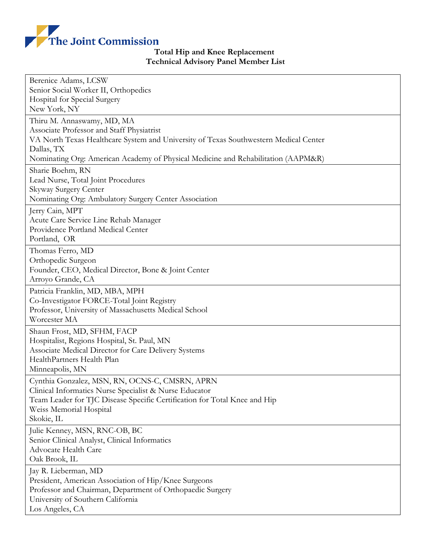

## **Total Hip and Knee Replacement Technical Advisory Panel Member List**

| Berenice Adams, LCSW                                                                                |
|-----------------------------------------------------------------------------------------------------|
| Senior Social Worker II, Orthopedics                                                                |
| Hospital for Special Surgery                                                                        |
| New York, NY                                                                                        |
| Thiru M. Annaswamy, MD, MA                                                                          |
| Associate Professor and Staff Physiatrist                                                           |
| VA North Texas Healthcare System and University of Texas Southwestern Medical Center                |
| Dallas, TX                                                                                          |
| Nominating Org: American Academy of Physical Medicine and Rehabilitation (AAPM&R)                   |
| Sharie Boehm, RN                                                                                    |
| Lead Nurse, Total Joint Procedures                                                                  |
| Skyway Surgery Center                                                                               |
| Nominating Org: Ambulatory Surgery Center Association                                               |
| Jerry Cain, MPT                                                                                     |
| Acute Care Service Line Rehab Manager<br>Providence Portland Medical Center                         |
| Portland, OR                                                                                        |
|                                                                                                     |
| Thomas Ferro, MD                                                                                    |
| Orthopedic Surgeon<br>Founder, CEO, Medical Director, Bone & Joint Center                           |
| Arroyo Grande, CA                                                                                   |
|                                                                                                     |
| Patricia Franklin, MD, MBA, MPH                                                                     |
| Co-Investigator FORCE-Total Joint Registry<br>Professor, University of Massachusetts Medical School |
| Worcester MA                                                                                        |
|                                                                                                     |
| Shaun Frost, MD, SFHM, FACP<br>Hospitalist, Regions Hospital, St. Paul, MN                          |
| Associate Medical Director for Care Delivery Systems                                                |
| HealthPartners Health Plan                                                                          |
| Minneapolis, MN                                                                                     |
| Cynthia Gonzalez, MSN, RN, OCNS-C, CMSRN, APRN                                                      |
| Clinical Informatics Nurse Specialist & Nurse Educator                                              |
| Team Leader for TJC Disease Specific Certification for Total Knee and Hip                           |
| Weiss Memorial Hospital                                                                             |
| Skokie, IL                                                                                          |
| Julie Kenney, MSN, RNC-OB, BC                                                                       |
| Senior Clinical Analyst, Clinical Informatics                                                       |
| Advocate Health Care                                                                                |
| Oak Brook, IL                                                                                       |
| Jay R. Lieberman, MD                                                                                |
| President, American Association of Hip/Knee Surgeons                                                |
| Professor and Chairman, Department of Orthopaedic Surgery                                           |
| University of Southern California                                                                   |
| Los Angeles, CA                                                                                     |
|                                                                                                     |